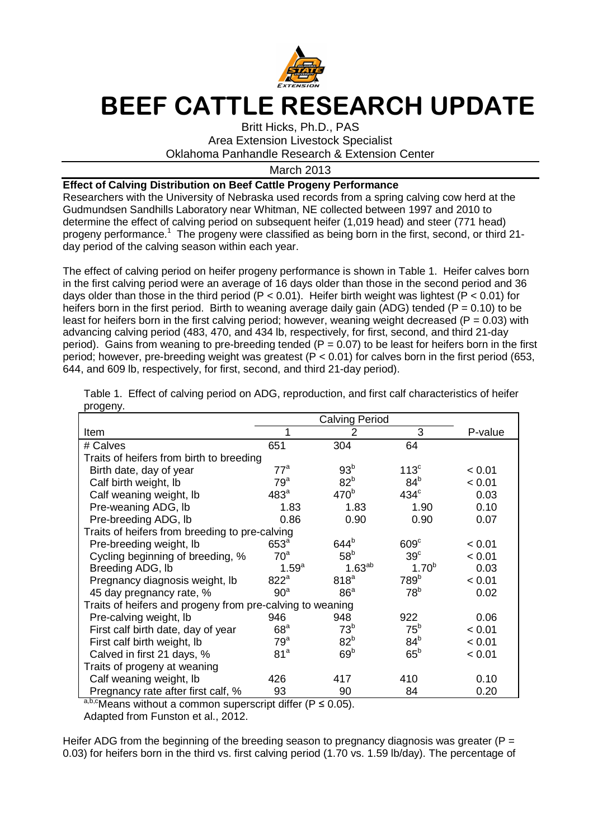

## **BEEF CATTLE RESEARCH UPDATE**

Britt Hicks, Ph.D., PAS Area Extension Livestock Specialist Oklahoma Panhandle Research & Extension Center

March 2013

## **Effect of Calving Distribution on Beef Cattle Progeny Performance**

Researchers with the University of Nebraska used records from a spring calving cow herd at the Gudmundsen Sandhills Laboratory near Whitman, NE collected between 1997 and 2010 to determine the effect of calving period on subsequent heifer (1,019 head) and steer (771 head) progeny performance.<sup>1</sup> The progeny were classified as being born in the first, second, or third 21day period of the calving season within each year.

The effect of calving period on heifer progeny performance is shown in Table 1. Heifer calves born in the first calving period were an average of 16 days older than those in the second period and 36 days older than those in the third period (P < 0.01). Heifer birth weight was lightest (P < 0.01) for heifers born in the first period. Birth to weaning average daily gain (ADG) tended ( $P = 0.10$ ) to be least for heifers born in the first calving period; however, weaning weight decreased ( $P = 0.03$ ) with advancing calving period (483, 470, and 434 lb, respectively, for first, second, and third 21-day period). Gains from weaning to pre-breeding tended ( $P = 0.07$ ) to be least for heifers born in the first period; however, pre-breeding weight was greatest ( $P < 0.01$ ) for calves born in the first period (653, 644, and 609 lb, respectively, for first, second, and third 21-day period).

|                                                           | <b>Calving Period</b> |                  |                  |         |  |  |
|-----------------------------------------------------------|-----------------------|------------------|------------------|---------|--|--|
| Item                                                      |                       | 2                | 3                | P-value |  |  |
| # Calves                                                  | 651                   | 304              | 64               |         |  |  |
| Traits of heifers from birth to breeding                  |                       |                  |                  |         |  |  |
| Birth date, day of year                                   | $77^a$                | 93 <sup>b</sup>  | 113 <sup>c</sup> | < 0.01  |  |  |
| Calf birth weight, lb                                     | $79^a$                | 82 <sup>b</sup>  | 84 <sup>b</sup>  | < 0.01  |  |  |
| Calf weaning weight, Ib                                   | 483 <sup>a</sup>      | 470 <sup>b</sup> | $434^\circ$      | 0.03    |  |  |
| Pre-weaning ADG, lb                                       | 1.83                  | 1.83             | 1.90             | 0.10    |  |  |
| Pre-breeding ADG, Ib                                      | 0.86                  | 0.90             | 0.90             | 0.07    |  |  |
| Traits of heifers from breeding to pre-calving            |                       |                  |                  |         |  |  |
| Pre-breeding weight, lb                                   | 653 <sup>a</sup>      | 644 <sup>b</sup> | 609 <sup>c</sup> | < 0.01  |  |  |
| Cycling beginning of breeding, %                          | 70 <sup>a</sup>       | 58 <sup>b</sup>  | 39 <sup>c</sup>  | < 0.01  |  |  |
| Breeding ADG, Ib                                          | $1.59^{a}$            | $1.63^{ab}$      | $1.70^{b}$       | 0.03    |  |  |
| Pregnancy diagnosis weight, Ib                            | 822 <sup>a</sup>      | 818 <sup>a</sup> | 789 <sup>b</sup> | < 0.01  |  |  |
| 45 day pregnancy rate, %                                  | 90 <sup>a</sup>       | 86 <sup>a</sup>  | 78 <sup>b</sup>  | 0.02    |  |  |
| Traits of heifers and progeny from pre-calving to weaning |                       |                  |                  |         |  |  |
| Pre-calving weight, lb                                    | 946                   | 948              | 922              | 0.06    |  |  |
| First calf birth date, day of year                        | 68 <sup>a</sup>       | 73 <sup>b</sup>  | 75 <sup>b</sup>  | < 0.01  |  |  |
| First calf birth weight, lb                               | $79^a$                | 82 <sup>b</sup>  | 84 <sup>b</sup>  | < 0.01  |  |  |
| Calved in first 21 days, %                                | 81 <sup>a</sup>       | 69 <sup>b</sup>  | 65 <sup>b</sup>  | < 0.01  |  |  |
| Traits of progeny at weaning                              |                       |                  |                  |         |  |  |
| Calf weaning weight, lb                                   | 426                   | 417              | 410              | 0.10    |  |  |
| Pregnancy rate after first calf, %                        | 93                    | 90               | 84               | 0.20    |  |  |

Table 1. Effect of calving period on ADG, reproduction, and first calf characteristics of heifer progeny.

 $a,b,c$  Means without a common superscript differ (P  $\leq$  0.05).

Adapted from Funston et al., 2012.

Heifer ADG from the beginning of the breeding season to pregnancy diagnosis was greater ( $P =$ 0.03) for heifers born in the third vs. first calving period (1.70 vs. 1.59 lb/day). The percentage of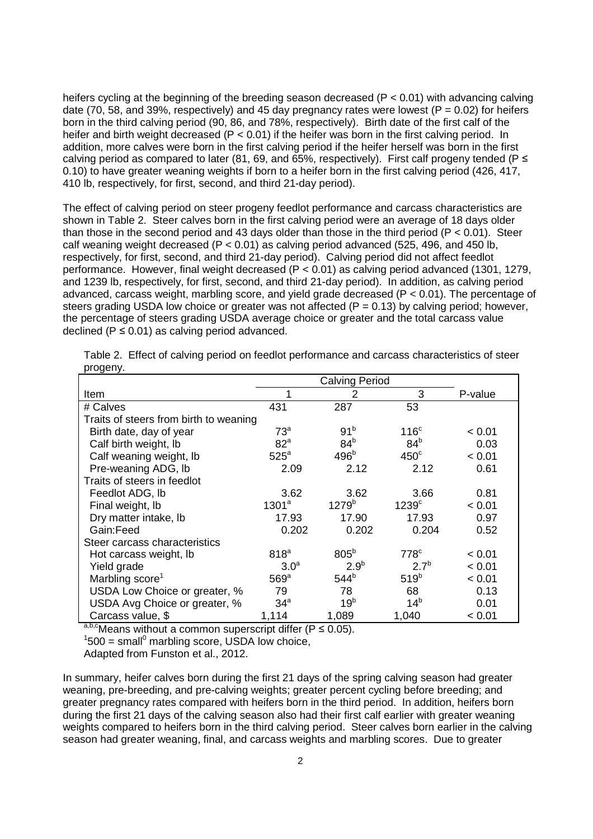heifers cycling at the beginning of the breeding season decreased ( $P < 0.01$ ) with advancing calving date (70, 58, and 39%, respectively) and 45 day pregnancy rates were lowest ( $P = 0.02$ ) for heifers born in the third calving period (90, 86, and 78%, respectively). Birth date of the first calf of the heifer and birth weight decreased ( $P < 0.01$ ) if the heifer was born in the first calving period. In addition, more calves were born in the first calving period if the heifer herself was born in the first calving period as compared to later (81, 69, and 65%, respectively). First calf progeny tended ( $P \le$ 0.10) to have greater weaning weights if born to a heifer born in the first calving period (426, 417, 410 lb, respectively, for first, second, and third 21-day period).

The effect of calving period on steer progeny feedlot performance and carcass characteristics are shown in Table 2. Steer calves born in the first calving period were an average of 18 days older than those in the second period and 43 days older than those in the third period ( $P < 0.01$ ). Steer calf weaning weight decreased (P < 0.01) as calving period advanced (525, 496, and 450 lb, respectively, for first, second, and third 21-day period). Calving period did not affect feedlot performance. However, final weight decreased (P < 0.01) as calving period advanced (1301, 1279, and 1239 lb, respectively, for first, second, and third 21-day period). In addition, as calving period advanced, carcass weight, marbling score, and yield grade decreased (P < 0.01). The percentage of steers grading USDA low choice or greater was not affected ( $P = 0.13$ ) by calving period; however, the percentage of steers grading USDA average choice or greater and the total carcass value declined ( $P \le 0.01$ ) as calving period advanced.

| <b>Item</b>                            |                   | 2                | 3                   | P-value |
|----------------------------------------|-------------------|------------------|---------------------|---------|
| # Calves                               | 431               | 287              | 53                  |         |
| Traits of steers from birth to weaning |                   |                  |                     |         |
| Birth date, day of year                | 73 <sup>a</sup>   | 91 <sup>b</sup>  | 116 <sup>c</sup>    | < 0.01  |
| Calf birth weight, lb                  | 82 <sup>a</sup>   | 84 <sup>b</sup>  | 84 <sup>b</sup>     | 0.03    |
| Calf weaning weight, lb                | $525^a$           | 496 <sup>b</sup> | $450^\circ$         | < 0.01  |
| Pre-weaning ADG, lb                    | 2.09              | 2.12             | 2.12                | 0.61    |
| Traits of steers in feedlot            |                   |                  |                     |         |
| Feedlot ADG, lb                        | 3.62              | 3.62             | 3.66                | 0.81    |
| Final weight, lb                       | 1301 <sup>a</sup> | $1279^{b}$       | $1239$ <sup>c</sup> | < 0.01  |
| Dry matter intake, lb                  | 17.93             | 17.90            | 17.93               | 0.97    |
| Gain:Feed                              | 0.202             | 0.202            | 0.204               | 0.52    |
| Steer carcass characteristics          |                   |                  |                     |         |
| Hot carcass weight, lb                 | 818 <sup>a</sup>  | 805 <sup>b</sup> | $778^{\circ}$       | < 0.01  |
| Yield grade                            | 3.0 <sup>a</sup>  | 2.9 <sup>b</sup> | 2.7 <sup>b</sup>    | < 0.01  |
| Marbling score <sup>1</sup>            | $569^{\circ}$     | 544 <sup>b</sup> | 519 <sup>b</sup>    | < 0.01  |
| USDA Low Choice or greater, %          | 79                | 78               | 68                  | 0.13    |
| USDA Avg Choice or greater, %          | 34 <sup>a</sup>   | 19 <sup>b</sup>  | 14 <sup>b</sup>     | 0.01    |
| Carcass value, \$                      | 1,114             | 1,089            | 1,040               | < 0.01  |

Table 2. Effect of calving period on feedlot performance and carcass characteristics of steer progeny.

a,b,cMeans without a common superscript differ ( $P \le 0.05$ ).

 $1500 =$  small<sup>0</sup> marbling score, USDA low choice,

Adapted from Funston et al., 2012.

In summary, heifer calves born during the first 21 days of the spring calving season had greater weaning, pre-breeding, and pre-calving weights; greater percent cycling before breeding; and greater pregnancy rates compared with heifers born in the third period. In addition, heifers born during the first 21 days of the calving season also had their first calf earlier with greater weaning weights compared to heifers born in the third calving period. Steer calves born earlier in the calving season had greater weaning, final, and carcass weights and marbling scores. Due to greater